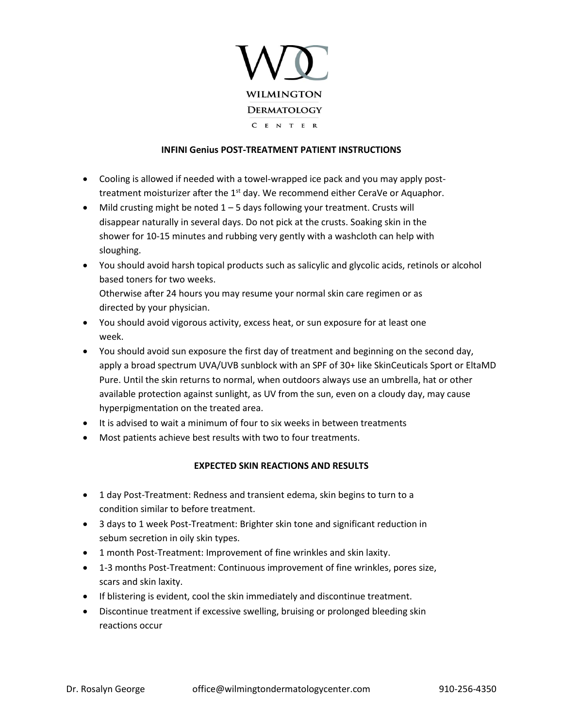

## **INFINI Genius POST-TREATMENT PATIENT INSTRUCTIONS**

- Cooling is allowed if needed with a towel-wrapped ice pack and you may apply posttreatment moisturizer after the  $1<sup>st</sup>$  day. We recommend either CeraVe or Aquaphor.
- Mild crusting might be noted  $1 5$  days following your treatment. Crusts will disappear naturally in several days. Do not pick at the crusts. Soaking skin in the shower for 10-15 minutes and rubbing very gently with a washcloth can help with sloughing.
- You should avoid harsh topical products such as salicylic and glycolic acids, retinols or alcohol based toners for two weeks. Otherwise after 24 hours you may resume your normal skin care regimen or as directed by your physician.
- You should avoid vigorous activity, excess heat, or sun exposure for at least one week.
- You should avoid sun exposure the first day of treatment and beginning on the second day, apply a broad spectrum UVA/UVB sunblock with an SPF of 30+ like SkinCeuticals Sport or EltaMD Pure. Until the skin returns to normal, when outdoors always use an umbrella, hat or other available protection against sunlight, as UV from the sun, even on a cloudy day, may cause hyperpigmentation on the treated area.
- It is advised to wait a minimum of four to six weeks in between treatments
- Most patients achieve best results with two to four treatments.

## **EXPECTED SKIN REACTIONS AND RESULTS**

- 1 day Post-Treatment: Redness and transient edema, skin begins to turn to a condition similar to before treatment.
- 3 days to 1 week Post-Treatment: Brighter skin tone and significant reduction in sebum secretion in oily skin types.
- 1 month Post-Treatment: Improvement of fine wrinkles and skin laxity.
- 1-3 months Post-Treatment: Continuous improvement of fine wrinkles, pores size, scars and skin laxity.
- If blistering is evident, cool the skin immediately and discontinue treatment.
- Discontinue treatment if excessive swelling, bruising or prolonged bleeding skin reactions occur